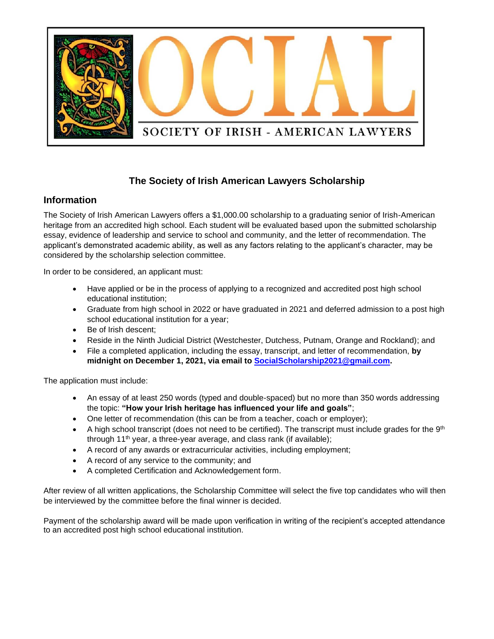

## **The Society of Irish American Lawyers Scholarship**

### **Information**

The Society of Irish American Lawyers offers a \$1,000.00 scholarship to a graduating senior of Irish-American heritage from an accredited high school. Each student will be evaluated based upon the submitted scholarship essay, evidence of leadership and service to school and community, and the letter of recommendation. The applicant's demonstrated academic ability, as well as any factors relating to the applicant's character, may be considered by the scholarship selection committee.

In order to be considered, an applicant must:

- Have applied or be in the process of applying to a recognized and accredited post high school educational institution;
- Graduate from high school in 2022 or have graduated in 2021 and deferred admission to a post high school educational institution for a year;
- Be of Irish descent;
- Reside in the Ninth Judicial District (Westchester, Dutchess, Putnam, Orange and Rockland); and
- File a completed application, including the essay, transcript, and letter of recommendation, **by midnight on December 1, 2021, via email to [SocialScholarship2021@gmail.com.](mailto:SocialScholarship2021@gmail.com)**

The application must include:

- An essay of at least 250 words (typed and double-spaced) but no more than 350 words addressing the topic: **"How your Irish heritage has influenced your life and goals"**;
- One letter of recommendation (this can be from a teacher, coach or employer);
- A high school transcript (does not need to be certified). The transcript must include grades for the  $9<sup>th</sup>$ through 11<sup>th</sup> year, a three-year average, and class rank (if available);
- A record of any awards or extracurricular activities, including employment;
- A record of any service to the community; and
- A completed Certification and Acknowledgement form.

After review of all written applications, the Scholarship Committee will select the five top candidates who will then be interviewed by the committee before the final winner is decided.

Payment of the scholarship award will be made upon verification in writing of the recipient's accepted attendance to an accredited post high school educational institution.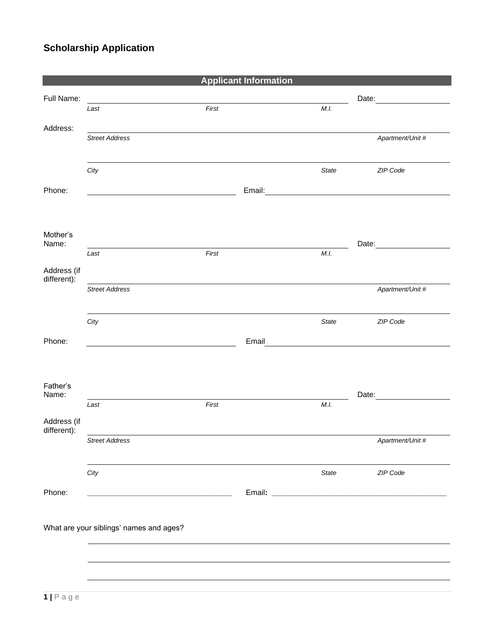# **Scholarship Application**

|                            |                                         |       | <b>Applicant Information</b> |                                               |                        |
|----------------------------|-----------------------------------------|-------|------------------------------|-----------------------------------------------|------------------------|
| Full Name:                 |                                         |       |                              |                                               | Date: <u>_________</u> |
|                            | Last                                    | First |                              | M.I.                                          |                        |
| Address:                   | <b>Street Address</b>                   |       |                              |                                               | Apartment/Unit #       |
|                            |                                         |       |                              |                                               |                        |
|                            | City                                    |       |                              | State                                         | ZIP Code               |
| Phone:                     |                                         |       | Email:                       |                                               |                        |
|                            |                                         |       |                              |                                               |                        |
| Mother's<br>Name:          |                                         |       |                              |                                               |                        |
|                            | Last                                    | First |                              | M.I.                                          |                        |
| Address (if<br>different): |                                         |       |                              |                                               |                        |
|                            | <b>Street Address</b>                   |       |                              |                                               | Apartment/Unit #       |
|                            | City                                    |       |                              | State                                         | ZIP Code               |
| Phone:                     |                                         |       | Email                        | <u> 1989 - Johann Stein, fransk politik (</u> |                        |
|                            |                                         |       |                              |                                               |                        |
| Father's<br>Name:          |                                         |       |                              |                                               | Date:                  |
|                            | Last                                    | First |                              | M.I.                                          |                        |
| Address (if<br>different): |                                         |       |                              |                                               |                        |
|                            | <b>Street Address</b>                   |       |                              |                                               | Apartment/Unit #       |
|                            | City                                    |       |                              | State                                         | ZIP Code               |
| Phone:                     |                                         |       |                              |                                               |                        |
|                            | What are your siblings' names and ages? |       |                              |                                               |                        |
|                            |                                         |       |                              |                                               |                        |
|                            |                                         |       |                              |                                               |                        |
|                            |                                         |       |                              |                                               |                        |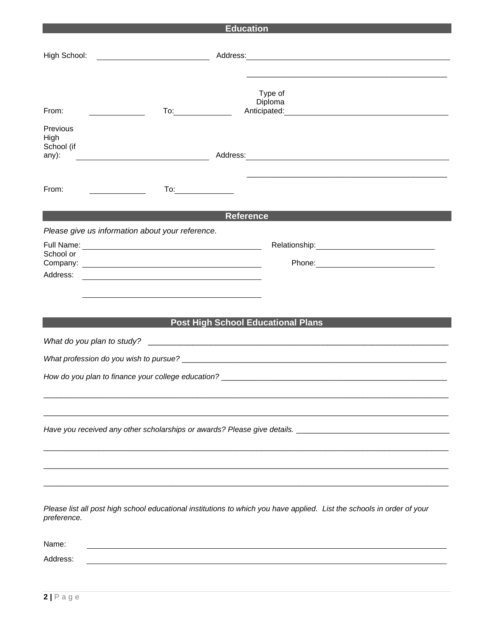| <b>Education</b> |                                                                                                                                                                                                                                                                           |  |  |  |
|------------------|---------------------------------------------------------------------------------------------------------------------------------------------------------------------------------------------------------------------------------------------------------------------------|--|--|--|
|                  |                                                                                                                                                                                                                                                                           |  |  |  |
|                  | High School: <u>___________________________</u>                                                                                                                                                                                                                           |  |  |  |
|                  |                                                                                                                                                                                                                                                                           |  |  |  |
|                  |                                                                                                                                                                                                                                                                           |  |  |  |
|                  | Type of                                                                                                                                                                                                                                                                   |  |  |  |
| From:            | Diploma<br>Anticipated: <u>Anticipated:</u> Anticipated:<br>$\overline{a}$                                                                                                                                                                                                |  |  |  |
|                  |                                                                                                                                                                                                                                                                           |  |  |  |
| Previous<br>High |                                                                                                                                                                                                                                                                           |  |  |  |
| School (if       |                                                                                                                                                                                                                                                                           |  |  |  |
| any):            | Address: Note and the set of the set of the set of the set of the set of the set of the set of the set of the set of the set of the set of the set of the set of the set of the set of the set of the set of the set of the se<br><u> 1980 - Johann Barbara, martin a</u> |  |  |  |
|                  |                                                                                                                                                                                                                                                                           |  |  |  |
| From:            | To:__________________                                                                                                                                                                                                                                                     |  |  |  |
|                  |                                                                                                                                                                                                                                                                           |  |  |  |
|                  | <b>Reference</b>                                                                                                                                                                                                                                                          |  |  |  |
|                  | Please give us information about your reference.                                                                                                                                                                                                                          |  |  |  |
|                  |                                                                                                                                                                                                                                                                           |  |  |  |
| School or        |                                                                                                                                                                                                                                                                           |  |  |  |
| Address:         |                                                                                                                                                                                                                                                                           |  |  |  |
|                  | <u> 1980 - Andrea Andrew Maria (h. 1980).</u>                                                                                                                                                                                                                             |  |  |  |
|                  |                                                                                                                                                                                                                                                                           |  |  |  |
|                  |                                                                                                                                                                                                                                                                           |  |  |  |
|                  | <b>Post High School Educational Plans</b>                                                                                                                                                                                                                                 |  |  |  |
|                  |                                                                                                                                                                                                                                                                           |  |  |  |
|                  |                                                                                                                                                                                                                                                                           |  |  |  |
|                  |                                                                                                                                                                                                                                                                           |  |  |  |
|                  |                                                                                                                                                                                                                                                                           |  |  |  |
|                  |                                                                                                                                                                                                                                                                           |  |  |  |
|                  |                                                                                                                                                                                                                                                                           |  |  |  |
|                  |                                                                                                                                                                                                                                                                           |  |  |  |
|                  |                                                                                                                                                                                                                                                                           |  |  |  |
|                  |                                                                                                                                                                                                                                                                           |  |  |  |
|                  |                                                                                                                                                                                                                                                                           |  |  |  |
|                  |                                                                                                                                                                                                                                                                           |  |  |  |
|                  |                                                                                                                                                                                                                                                                           |  |  |  |
|                  |                                                                                                                                                                                                                                                                           |  |  |  |
| preference.      | Please list all post high school educational institutions to which you have applied. List the schools in order of your                                                                                                                                                    |  |  |  |
|                  |                                                                                                                                                                                                                                                                           |  |  |  |
| Name:            |                                                                                                                                                                                                                                                                           |  |  |  |
| Address:         |                                                                                                                                                                                                                                                                           |  |  |  |
|                  |                                                                                                                                                                                                                                                                           |  |  |  |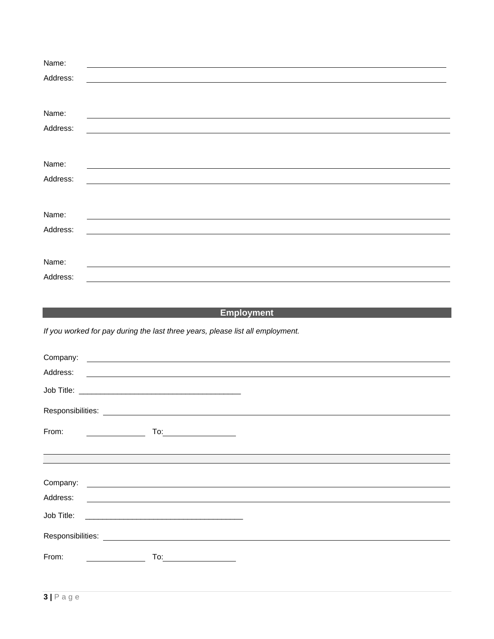| Name:    |                                                                                                                       |
|----------|-----------------------------------------------------------------------------------------------------------------------|
| Address: |                                                                                                                       |
|          |                                                                                                                       |
|          |                                                                                                                       |
| Name:    |                                                                                                                       |
| Address: |                                                                                                                       |
|          |                                                                                                                       |
|          |                                                                                                                       |
| Name:    |                                                                                                                       |
| Address: | <u> 1989 - Andrea Station Barbara, amerikan personal di sebagai personal di sebagai personal di sebagai personal </u> |
|          |                                                                                                                       |
|          |                                                                                                                       |
| Name:    |                                                                                                                       |
| Address: |                                                                                                                       |
|          |                                                                                                                       |
|          |                                                                                                                       |
| Name:    |                                                                                                                       |
| Address: |                                                                                                                       |

# **Employment**

*If you worked for pay during the last three years, please list all employment.*

| Company:<br><u> 1989 - Johann John Stein, fransk politik (</u>                                                                            |  |
|-------------------------------------------------------------------------------------------------------------------------------------------|--|
| Address:<br><u> 1989 - Johann Stein, mars an deutscher Stein und der Stein und der Stein und der Stein und der Stein und der</u>          |  |
|                                                                                                                                           |  |
|                                                                                                                                           |  |
| From:<br>To: $\qquad \qquad$                                                                                                              |  |
|                                                                                                                                           |  |
| Company:                                                                                                                                  |  |
| Address:                                                                                                                                  |  |
| Job Title:<br><u> 1989 - Johann Barbara, martin amerikan basal dan berasal dalam basal dan berasal dalam basal dalam basal dala</u>       |  |
| Responsibilities:<br><u> 1989 - Johann Stein, mars an deutscher Stein und der Stein und der Stein und der Stein und der Stein und der</u> |  |
|                                                                                                                                           |  |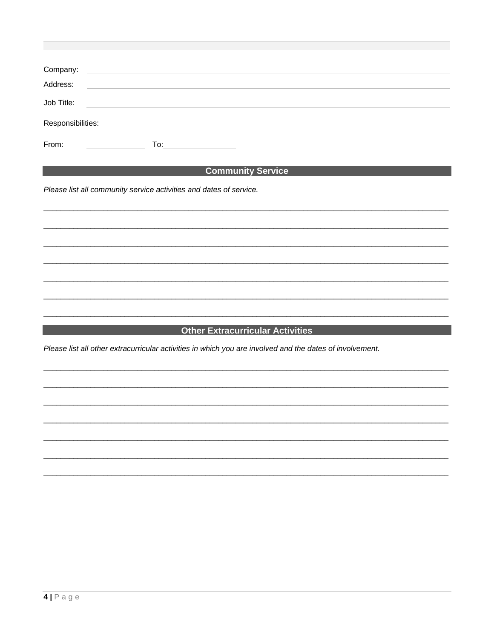| Company:          | <u> 1980 - Andrea Barbara, poeta esperanto-</u>                                                                      |  |  |
|-------------------|----------------------------------------------------------------------------------------------------------------------|--|--|
| Address:          | <u> 1980 - Antonio Alemania, prima postala de la provincia de la provincia de la provincia de la provincia de la</u> |  |  |
| Job Title:        | <u> 1989 - John Stein, Amerikaansk politiker (</u>                                                                   |  |  |
| Responsibilities: |                                                                                                                      |  |  |
| From:             | To:                                                                                                                  |  |  |

#### 

Please list all community service activities and dates of service.

## **Extracurricular Activities And Activities** Activities Activities Activities Activities Activities Activities Activ

Please list all other extracurricular activities in which you are involved and the dates of involvement.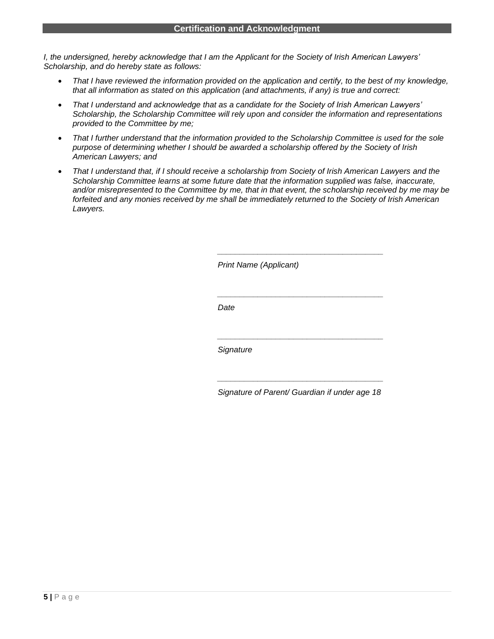*I, the undersigned, hereby acknowledge that I am the Applicant for the Society of Irish American Lawyers' Scholarship, and do hereby state as follows:*

- *That I have reviewed the information provided on the application and certify, to the best of my knowledge, that all information as stated on this application (and attachments, if any) is true and correct:*
- *That I understand and acknowledge that as a candidate for the Society of Irish American Lawyers' Scholarship, the Scholarship Committee will rely upon and consider the information and representations provided to the Committee by me;*
- *That I further understand that the information provided to the Scholarship Committee is used for the sole purpose of determining whether I should be awarded a scholarship offered by the Society of Irish American Lawyers; and*
- *That I understand that, if I should receive a scholarship from Society of Irish American Lawyers and the Scholarship Committee learns at some future date that the information supplied was false, inaccurate, and/or misrepresented to the Committee by me, that in that event, the scholarship received by me may be forfeited and any monies received by me shall be immediately returned to the Society of Irish American Lawyers.*

*Print Name (Applicant)*

*Date*

*Signature*

*\_\_\_\_\_\_\_\_\_\_\_\_\_\_\_\_\_\_\_\_\_\_\_\_\_\_\_\_\_\_\_\_\_\_\_\_\_ Signature of Parent/ Guardian if under age 18*

*\_\_\_\_\_\_\_\_\_\_\_\_\_\_\_\_\_\_\_\_\_\_\_\_\_\_\_\_\_\_\_\_\_\_\_\_\_*

*\_\_\_\_\_\_\_\_\_\_\_\_\_\_\_\_\_\_\_\_\_\_\_\_\_\_\_\_\_\_\_\_\_\_\_\_\_*

*\_\_\_\_\_\_\_\_\_\_\_\_\_\_\_\_\_\_\_\_\_\_\_\_\_\_\_\_\_\_\_\_\_\_\_\_\_*